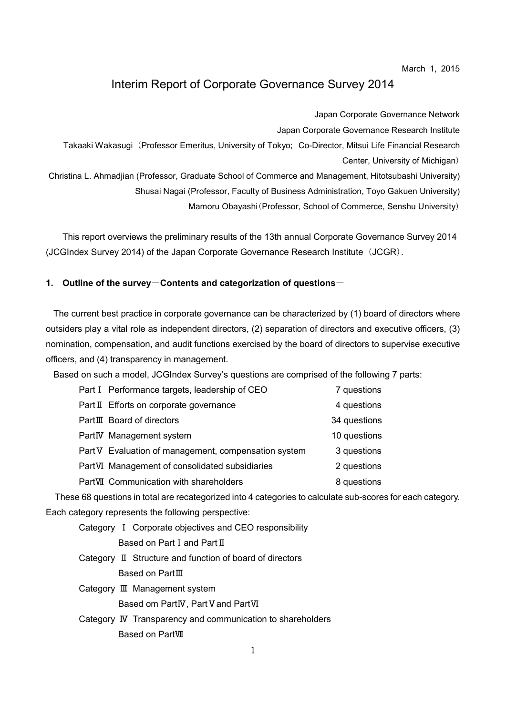March 1, 2015

### Interim Report of Corporate Governance Survey 2014

Japan Corporate Governance Network

Japan Corporate Governance Research Institute

Takaaki Wakasugi (Professor Emeritus, University of Tokyo; Co-Director, Mitsui Life Financial Research Center, University of Michigan)

Christina L. Ahmadjian (Professor, Graduate School of Commerce and Management, Hitotsubashi University)

Shusai Nagai (Professor, Faculty of Business Administration, Toyo Gakuen University)

Mamoru Obayashi(Professor, School of Commerce, Senshu University)

This report overviews the preliminary results of the 13th annual Corporate Governance Survey 2014 (JCGIndex Survey 2014) of the Japan Corporate Governance Research Institute (JCGR).

### 1. Outline of the survey-Contents and categorization of questions-

The current best practice in corporate governance can be characterized by (1) board of directors where outsiders play a vital role as independent directors, (2) separation of directors and executive officers, (3) nomination, compensation, and audit functions exercised by the board of directors to supervise executive officers, and (4) transparency in management.

Based on such a model, JCGIndex Survey's questions are comprised of the following 7 parts:

| Part I Performance targets, leadership of CEO        | 7 questions  |
|------------------------------------------------------|--------------|
| Part II Efforts on corporate governance              | 4 questions  |
| PartIII Board of directors                           | 34 questions |
| PartIV Management system                             | 10 questions |
| Part V Evaluation of management, compensation system | 3 questions  |
| PartVI Management of consolidated subsidiaries       | 2 questions  |
| PartVII Communication with shareholders              | 8 questions  |

These 68 questions in total are recategorized into 4 categories to calculate sub-scores for each category. Each category represents the following perspective:

Category Ⅰ Corporate objectives and CEO responsibility Based on Part I and Part II Category Ⅱ Structure and function of board of directors Based on PartⅢ Category Ⅲ Management system Based om PartⅣ, PartⅤand PartⅥ Category Ⅳ Transparency and communication to shareholders Based on PartⅦ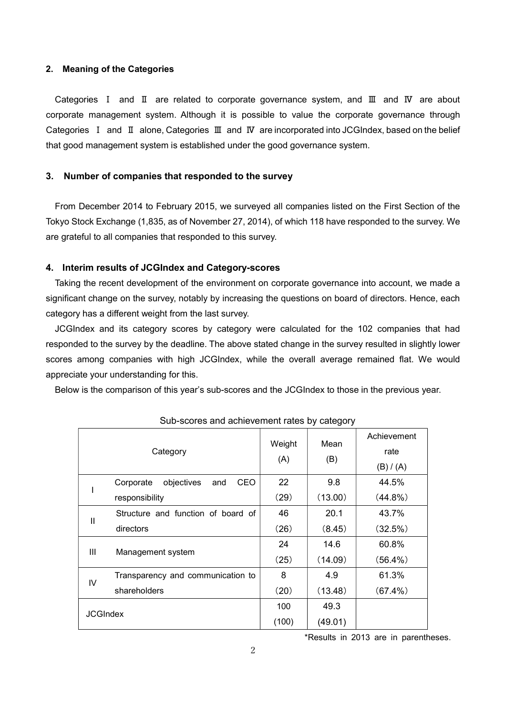#### 2. Meaning of the Categories

Categories Ⅰ and Ⅱ are related to corporate governance system, and Ⅲ and Ⅳ are about corporate management system. Although it is possible to value the corporate governance through Categories Ⅰ and Ⅱ alone, Categories Ⅲ and Ⅳ are incorporated into JCGIndex, based on the belief that good management system is established under the good governance system.

#### 3. Number of companies that responded to the survey

From December 2014 to February 2015, we surveyed all companies listed on the First Section of the Tokyo Stock Exchange (1,835, as of November 27, 2014), of which 118 have responded to the survey. We are grateful to all companies that responded to this survey.

#### 4. Interim results of JCGIndex and Category-scores

Taking the recent development of the environment on corporate governance into account, we made a significant change on the survey, notably by increasing the questions on board of directors. Hence, each category has a different weight from the last survey.

JCGIndex and its category scores by category were calculated for the 102 companies that had responded to the survey by the deadline. The above stated change in the survey resulted in slightly lower scores among companies with high JCGIndex, while the overall average remained flat. We would appreciate your understanding for this.

Below is the comparison of this year's sub-scores and the JCGIndex to those in the previous year.

| as econoc and achievement rated by category |                                              |        |             |             |  |
|---------------------------------------------|----------------------------------------------|--------|-------------|-------------|--|
| Category                                    |                                              | Weight | Mean<br>(B) | Achievement |  |
|                                             |                                              | (A)    |             | rate        |  |
|                                             |                                              |        |             | (B) / (A)   |  |
|                                             | <b>CEO</b><br>Corporate<br>objectives<br>and | 22     | 9.8         | 44.5%       |  |
|                                             | responsibility                               | (29)   | (13.00)     | $(44.8\%)$  |  |
| $\mathbf{I}$                                | Structure and function of board of           | 46     | 20.1        | 43.7%       |  |
|                                             | directors                                    | (26)   | (8.45)      | (32.5%)     |  |
| III                                         | Management system                            | 24     | 14.6        | 60.8%       |  |
|                                             |                                              | (25)   | (14.09)     | $(56.4\%)$  |  |
| IV                                          | Transparency and communication to            | 8      | 4.9         | 61.3%       |  |
|                                             | shareholders                                 | (20)   | (13.48)     | $(67.4\%)$  |  |
| <b>JCGIndex</b>                             |                                              | 100    | 49.3        |             |  |
|                                             |                                              | (100)  | (49.01)     |             |  |

Sub-scores and achievement rates by category

\*Results in 2013 are in parentheses.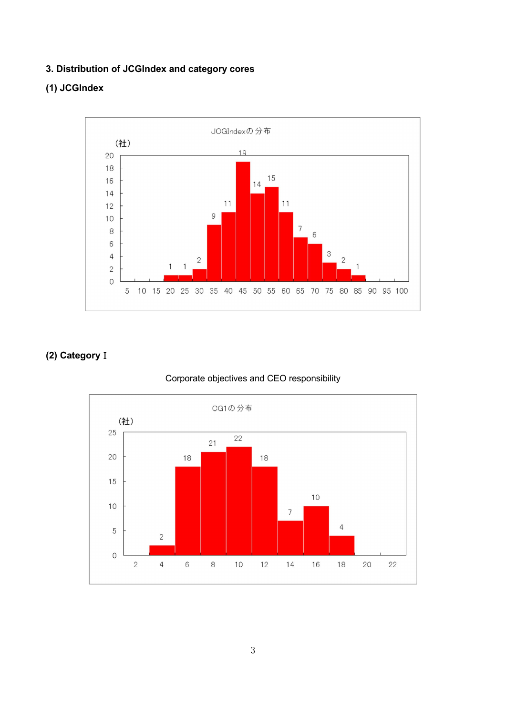## 3. Distribution of JCGIndex and category cores

## (1) JCGIndex



# (2) CategoryⅠ

## Corporate objectives and CEO responsibility

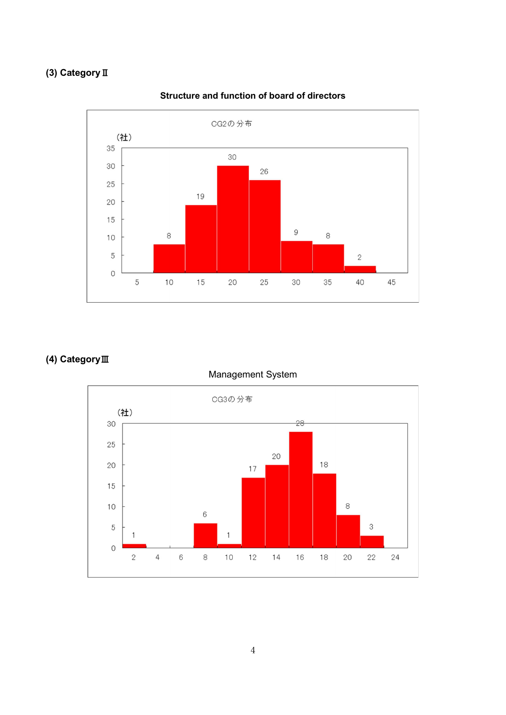# (3) CategoryⅡ



## Structure and function of board of directors

# (4) CategoryⅢ



Management System